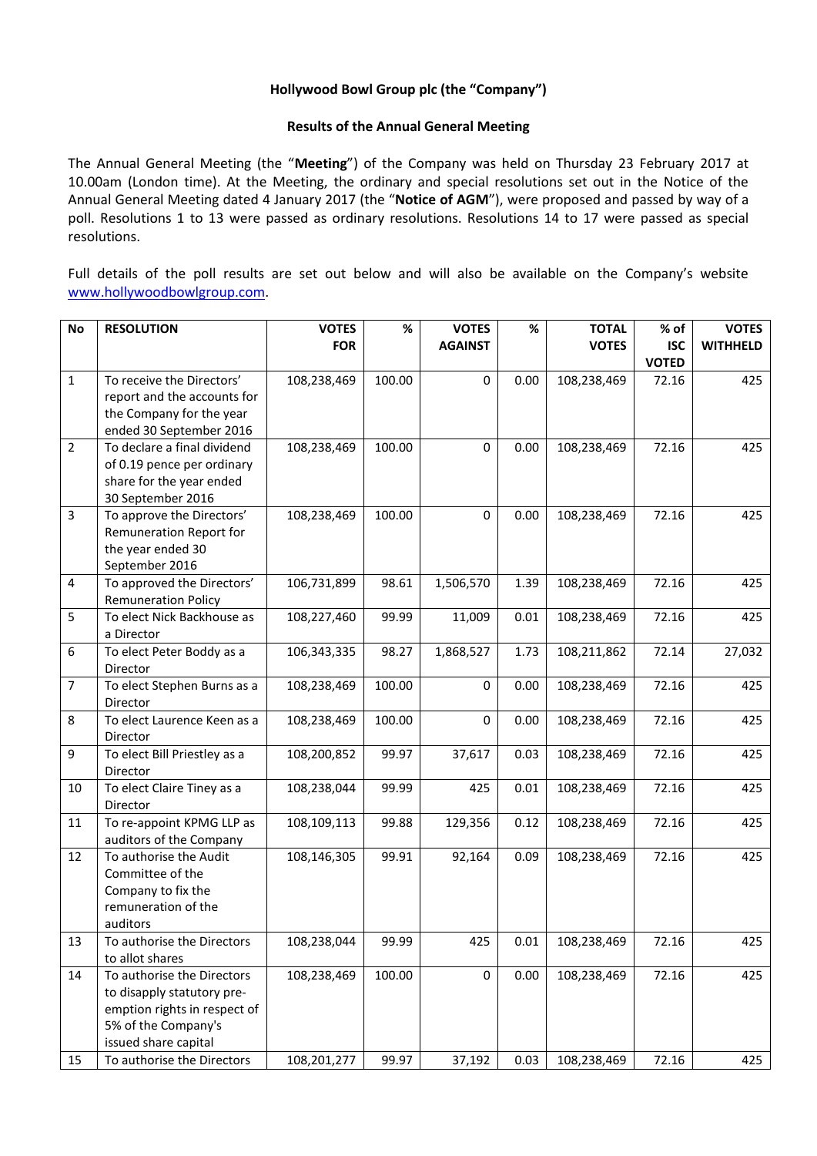## **Hollywood Bowl Group plc (the "Company")**

### **Results of the Annual General Meeting**

The Annual General Meeting (the "**Meeting**") of the Company was held on Thursday 23 February 2017 at 10.00am (London time). At the Meeting, the ordinary and special resolutions set out in the Notice of the Annual General Meeting dated 4 January 2017 (the "**Notice of AGM**"), were proposed and passed by way of a poll. Resolutions 1 to 13 were passed as ordinary resolutions. Resolutions 14 to 17 were passed as special resolutions.

Full details of the poll results are set out below and will also be available on the Company's website [www.hollywoodbowlgroup.com.](http://www.hollywoodbowlgroup.com/)

| <b>No</b>        | <b>RESOLUTION</b>                            | <b>VOTES</b> | %      | <b>VOTES</b>   | $\%$ | <b>TOTAL</b> | % of         | <b>VOTES</b>    |
|------------------|----------------------------------------------|--------------|--------|----------------|------|--------------|--------------|-----------------|
|                  |                                              | <b>FOR</b>   |        | <b>AGAINST</b> |      | <b>VOTES</b> | <b>ISC</b>   | <b>WITHHELD</b> |
|                  |                                              |              |        |                |      |              | <b>VOTED</b> |                 |
| $\mathbf{1}$     | To receive the Directors'                    | 108,238,469  | 100.00 | $\mathbf 0$    | 0.00 | 108,238,469  | 72.16        | 425             |
|                  | report and the accounts for                  |              |        |                |      |              |              |                 |
|                  | the Company for the year                     |              |        |                |      |              |              |                 |
|                  | ended 30 September 2016                      |              |        |                |      |              |              |                 |
| $\overline{2}$   | To declare a final dividend                  | 108,238,469  | 100.00 | 0              | 0.00 | 108,238,469  | 72.16        | 425             |
|                  | of 0.19 pence per ordinary                   |              |        |                |      |              |              |                 |
|                  | share for the year ended                     |              |        |                |      |              |              |                 |
|                  | 30 September 2016                            |              |        |                |      |              |              |                 |
| $\overline{3}$   | To approve the Directors'                    | 108,238,469  | 100.00 | $\mathbf 0$    | 0.00 | 108,238,469  | 72.16        | 425             |
|                  | Remuneration Report for                      |              |        |                |      |              |              |                 |
|                  | the year ended 30                            |              |        |                |      |              |              |                 |
| 4                | September 2016<br>To approved the Directors' |              | 98.61  |                |      |              | 72.16        |                 |
|                  | <b>Remuneration Policy</b>                   | 106,731,899  |        | 1,506,570      | 1.39 | 108,238,469  |              | 425             |
| 5                | To elect Nick Backhouse as                   | 108,227,460  | 99.99  | 11,009         | 0.01 | 108,238,469  | 72.16        | 425             |
|                  | a Director                                   |              |        |                |      |              |              |                 |
| $\boldsymbol{6}$ | To elect Peter Boddy as a                    | 106,343,335  | 98.27  | 1,868,527      | 1.73 | 108,211,862  | 72.14        | 27,032          |
|                  | Director                                     |              |        |                |      |              |              |                 |
| $\overline{7}$   | To elect Stephen Burns as a                  | 108,238,469  | 100.00 | $\mathbf 0$    | 0.00 | 108,238,469  | 72.16        | 425             |
|                  | Director                                     |              |        |                |      |              |              |                 |
| 8                | To elect Laurence Keen as a                  | 108,238,469  | 100.00 | $\Omega$       | 0.00 | 108,238,469  | 72.16        | 425             |
|                  | Director                                     |              |        |                |      |              |              |                 |
| $\boldsymbol{9}$ | To elect Bill Priestley as a                 | 108,200,852  | 99.97  | 37,617         | 0.03 | 108,238,469  | 72.16        | 425             |
|                  | Director                                     |              |        |                |      |              |              |                 |
| 10               | To elect Claire Tiney as a                   | 108,238,044  | 99.99  | 425            | 0.01 | 108,238,469  | 72.16        | 425             |
|                  | Director                                     |              |        |                |      |              |              |                 |
| 11               | To re-appoint KPMG LLP as                    | 108,109,113  | 99.88  | 129,356        | 0.12 | 108,238,469  | 72.16        | 425             |
|                  | auditors of the Company                      |              |        |                |      |              |              |                 |
| 12               | To authorise the Audit                       | 108,146,305  | 99.91  | 92,164         | 0.09 | 108,238,469  | 72.16        | 425             |
|                  | Committee of the                             |              |        |                |      |              |              |                 |
|                  | Company to fix the                           |              |        |                |      |              |              |                 |
|                  | remuneration of the                          |              |        |                |      |              |              |                 |
| 13               | auditors<br>To authorise the Directors       |              | 99.99  | 425            | 0.01 |              | 72.16        | 425             |
|                  | to allot shares                              | 108,238,044  |        |                |      | 108,238,469  |              |                 |
| 14               | To authorise the Directors                   | 108,238,469  | 100.00 | $\mathbf 0$    | 0.00 | 108,238,469  | 72.16        | 425             |
|                  | to disapply statutory pre-                   |              |        |                |      |              |              |                 |
|                  | emption rights in respect of                 |              |        |                |      |              |              |                 |
|                  | 5% of the Company's                          |              |        |                |      |              |              |                 |
|                  | issued share capital                         |              |        |                |      |              |              |                 |
| 15               | To authorise the Directors                   | 108,201,277  | 99.97  | 37,192         | 0.03 | 108,238,469  | 72.16        | 425             |